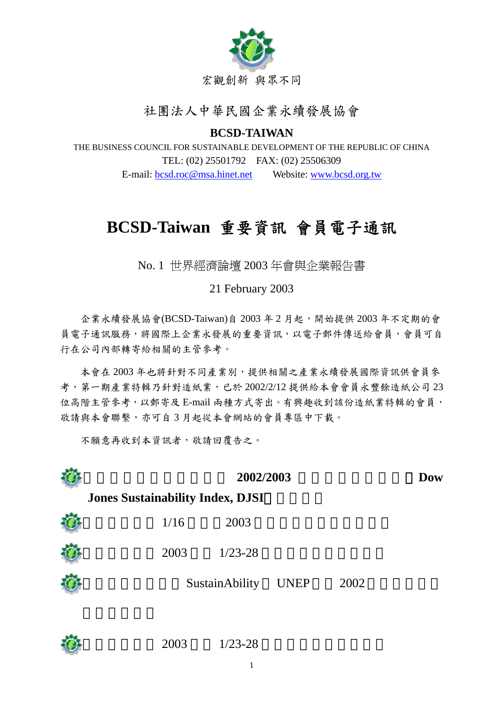

# 社團法人中華民國企業永續發展協會

## **BCSD-TAIWAN**

THE BUSINESS COUNCIL FOR SUSTAINABLE DEVELOPMENT OF THE REPUBLIC OF CHINA TEL: (02) 25501792 FAX: (02) 25506309

E-mail: [bcsd.roc@msa.hinet.net](mailto:bcsd.roc@msa.hinet.net) Website: [www.bcsd.org.tw](http://www.bcsd.org.tw/)

# **BCSD-Taiwan** 重要資訊 會員電子通訊

No. 1 世界經濟論壇 2003 年會與企業報告書

21 February 2003

企業永續發展協會(BCSD-Taiwan)自 2003年2月起,開始提供 2003年不定期的會 員電子通訊服務,將國際上企業永發展的重要資訊,以電子郵件傳送給會員,會員可自 行在公司內部轉寄給相關的主管參考。

本會在 2003 年也將針對不同產業別,提供相關之產業永續發展國際資訊供會員參 考,第一期產業特輯乃針對造紙業,已於 2002/2/12 提供給本會會員永豐餘造紙公司 23 位高階主管參考,以郵寄及 E-mail 兩種方式寄出。有興趣收到該份造紙業特輯的會員, 敬請與本會聯繫,亦可自 3 月起從本會網站的會員專區中下載。

不願意再收到本資訊者,敬請回覆告之。

|                                         | Dow            |             |      |  |
|-----------------------------------------|----------------|-------------|------|--|
| <b>Jones Sustainability Index, DJSI</b> |                |             |      |  |
| 1/16                                    | 2003           |             |      |  |
| 2003                                    | $1/23 - 28$    |             |      |  |
|                                         | SustainAbility | <b>UNEP</b> | 2002 |  |
|                                         |                |             |      |  |

 $2003 \t 1/23-28$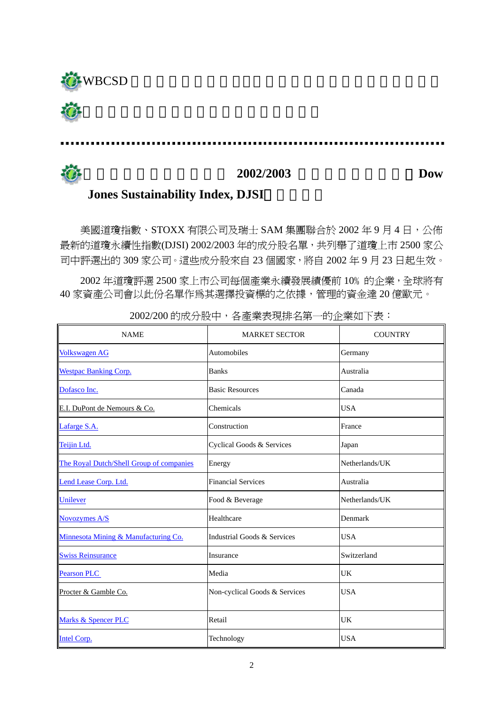





## 台積電和茂矽持續獲選為 **2002/2003** 年道瓊永續性指數(**Dow**

# **Jones Sustainability Index, DJSI**

美國道瓊指數、STOXX 有限公司及瑞士 SAM 集團聯合於 2002年9月4日,公佈 最新的道瓊永續性指數(DJSI) 2002/2003 年的成分股名單,共列舉了道瓊上市 2500 家公 司中評選出的 309 家公司。這些成分股來自 23 個國家,將自 2002 年 9 月 23 日起生效。

2002 年道瓊評選 2500 家上市公司每個產業永續發展績優前 10﹪的企業,全球將有 40 家資產公司會以此份名單作為其選擇投資標的之依據,管理的資金達 20 億歐元。

| <b>NAME</b>                              | <b>MARKET SECTOR</b>          | <b>COUNTRY</b> |  |
|------------------------------------------|-------------------------------|----------------|--|
| <b>Volkswagen AG</b>                     | Automobiles                   | Germany        |  |
| <b>Westpac Banking Corp.</b>             | <b>Banks</b>                  | Australia      |  |
| Dofasco Inc.                             | <b>Basic Resources</b>        | Canada         |  |
| E.I. DuPont de Nemours & Co.             | Chemicals                     | <b>USA</b>     |  |
| Lafarge S.A.                             | Construction                  | France         |  |
| Teijin Ltd.                              | Cyclical Goods & Services     | Japan          |  |
| The Royal Dutch/Shell Group of companies | Energy                        | Netherlands/UK |  |
| Lend Lease Corp. Ltd.                    | <b>Financial Services</b>     | Australia      |  |
| Unilever                                 | Food & Beverage               | Netherlands/UK |  |
| Novozymes A/S                            | Healthcare                    | Denmark        |  |
| Minnesota Mining & Manufacturing Co.     | Industrial Goods & Services   | <b>USA</b>     |  |
| <b>Swiss Reinsurance</b>                 | Insurance                     | Switzerland    |  |
| <b>Pearson PLC</b>                       | Media                         | <b>UK</b>      |  |
| Procter & Gamble Co.                     | Non-cyclical Goods & Services | <b>USA</b>     |  |
| <b>Marks &amp; Spencer PLC</b>           | Retail                        | UK             |  |
| Intel Corp.                              | Technology                    | <b>USA</b>     |  |

2002/200 的成分股中,各產業表現排名第一的企業如下表: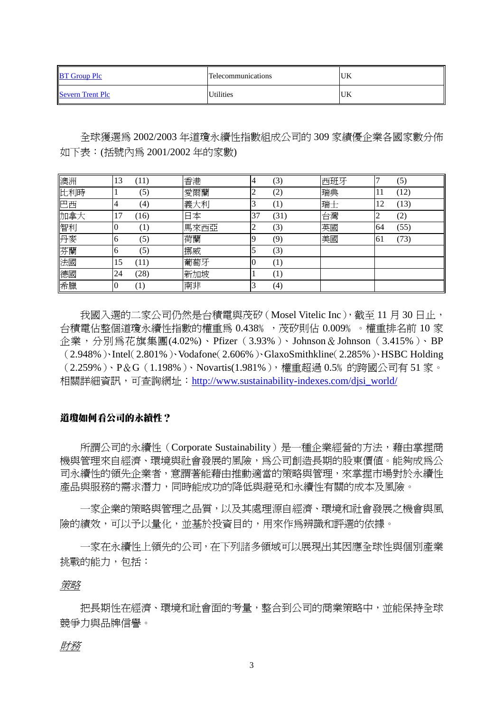| <b>BT</b> Group Plc     | <b>Telecommunications</b> | 'UK       |
|-------------------------|---------------------------|-----------|
| <b>Severn Trent Plc</b> | <b>Utilities</b>          | <b>UK</b> |

全球獲選為 2002/2003 年道瓊永續性指數組成公司的 309 家績優企業各國家數分佈 如下表:(括號內為 2001/2002 年的家數)

| 澳洲  | 13  | (11)              | 香港   |    | (3)                 | 西班牙 |        | (5)  |
|-----|-----|-------------------|------|----|---------------------|-----|--------|------|
| 比利時 |     | (5)               | 愛爾蘭  | ∠  | (2)                 | 瑞典  | 11     | (12) |
| 巴西  | 4   | (4)               | 義大利  |    | $\scriptstyle{(1)}$ | 瑞士  | 12     | (13) |
| 加拿大 | . 7 | (16)              | 日本   | 37 | (31)                | 台灣  | ി<br>∠ | (2)  |
| 智利  |     | $\left(1\right)$  | 馬來西亞 | ∠  | (3)                 | 英國  | 64     | (55) |
| 丹麥  | O   | (5)               | 荷蘭   | 19 | (9)                 | 美國  | 61     | (73) |
| 芬蘭  | O   | (5)               | 挪威   |    | (3)                 |     |        |      |
| 法國  | 15  | (11)              | 葡萄牙  |    | (1)                 |     |        |      |
| 德國  | 24  | (28)              | 新加坡  |    | $\scriptstyle{(1)}$ |     |        |      |
| 希臘  |     | $\left( 1\right)$ | 南非   |    | $\left( 4\right)$   |     |        |      |

我國入選的二家公司仍然是台積電與茂矽 (Mosel Vitelic Inc), 截至 11 月 30 日止, 台積電佔整個道瓊永續性指數的權重為 0.438﹪,茂矽則佔 0.009﹪。權重排名前 10 家 企業,分別為花旗集團(4.02%)、Pfizer(3.93%)、Johnson & Johnson (3.415%)、BP (2.948%)、Intel(2.801%)、Vodafone(2.606%)、GlaxoSmithkline(2.285%)、HSBC Holding (2.259%)、P&G(1.198%)、Novartis(1.981%),權重超過 0.5﹪的跨國公司有 51 家。 相關詳細資訊,可查詢網址: [http://www.sustainability-indexes.com/djsi\\_world/](http://www.sustainability-indexes.com/djsi_world/)

#### 道瓊如何看公司的永續性?

所謂公司的永續性 (Corporate Sustainability) 是一種企業經營的方法,藉由掌握商 機與管理來自經濟、環境與社會發展的風險,爲公司創造長期的股東價值。能夠成爲公 司永續性的領先企業者,意謂著能藉由推動適當的策略與管理,來掌握市場對於永續性 產品與服務的需求潛力,同時能成功的降低與避免和永續性有關的成本及風險。

一家企業的策略與管理之品質,以及其處理源自經濟、環境和社會發展之機會與風 險的績效,可以予以量化,並基於投資目的,用來作為辨識和評選的依據。

 一家在永續性上領先的公司,在下列諸多領域可以展現出其因應全球性與個別產業 挑戰的能力,包括:

#### 策略

 把長期性在經濟、環境和社會面的考量,整合到公司的商業策略中,並能保持全球 競爭力與品牌信譽。

#### 財務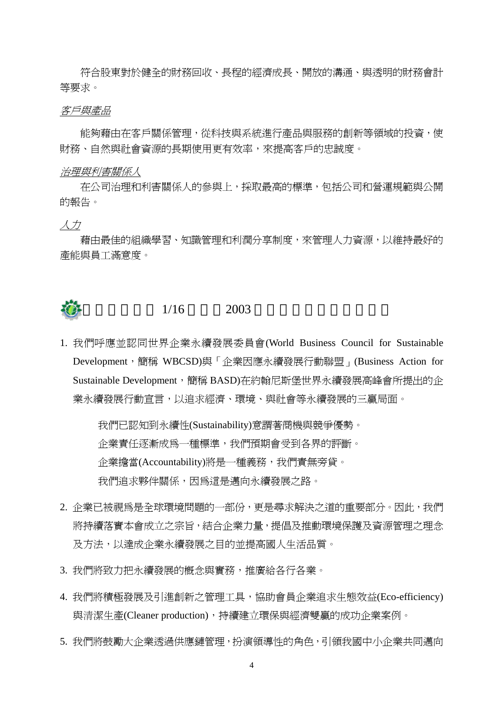符合股東對於健全的財務回收、長程的經濟成長、開放的溝通、與透明的財務會計 等要求。

#### 客戶與產品

能夠藉由在客戶關係管理,從科技與系統進行產品與服務的創新等領域的投資,使 財務、自然與社會資源的長期使用更有效率,來提高客戶的忠誠度。

#### 治理與利害關係人

在公司治理和利害關係人的參與上,採取最高的標準,包括公司和營運規範與公開 的報告。

人力

藉由最佳的組織學習、知識管理和利潤分享制度,來管理人力資源,以維持最好的 產能與員工滿意度。



1. 我們呼應並認同世界企業永續發展委員會(World Business Council for Sustainable Development,簡稱 WBCSD)與「企業因應永續發展行動聯盟」(Business Action for Sustainable Development,簡稱 BASD)在約翰尼斯堡世界永續發展高峰會所提出的企 業永續發展行動宣言,以追求經濟、環境、與社會等永續發展的三贏局面。

我們已認知到永續性(Sustainability)意謂著商機與競爭優勢。 企業責任逐漸成為一種標準,我們預期會受到各界的評斷。 企業擔當(Accountability)將是一種義務,我們責無旁貸。 我們追求夥伴關係,因為這是邁向永續發展之路。

- 2. 企業已被視為是全球環境問題的一部份,更是尋求解決之道的重要部分。因此,我們 將持續落實本會成立之宗旨,結合企業力量,提倡及推動環境保護及資源管理之理念 及方法,以達成企業永續發展之目的並提高國人生活品質。
- 3. 我們將致力把永續發展的概念與實務,推廣給各行各業。
- 4. 我們將積極發展及引進創新之管理工具,協助會員企業追求生態效益(Eco-efficiency) 與清潔生產(Cleaner production),持續建立環保與經濟雙贏的成功企業案例。
- 5. 我們將鼓勵大企業透過供應鏈管理,扮演領導性的角色,引領我國中小企業共同邁向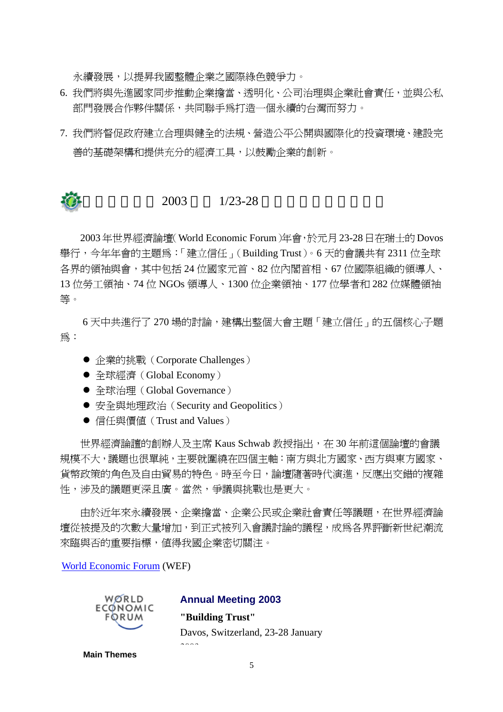永續發展,以提昇我國整體企業之國際綠色競爭力。

- 6. 我們將與先進國家同步推動企業擔當、透明化、公司治理與企業社會責任,並與公私 部門發展合作夥伴關係,共同聯手為打造一個永續的台灣而努力。
- 7. 我們將督促政府建立合理與健全的法規、營造公平公開與國際化的投資環境、建設完 善的基礎架構和提供充分的經濟工具,以鼓勵企業的創新。



2003年世界經濟論壇(World Economic Forum)年會,於元月23-28日在瑞士的Dovos 舉行,今年年會的主題為:「建立信任」(Building Trust)。6 天的會議共有 2311 位全球 各界的領袖與會,其中包括 24 位國家元首、82 位內閣首相、67 位國際組織的領導人、 13 位勞工領袖、74 位 NGOs 領導人、1300 位企業領袖、177 位學者和 282 位媒體領袖 等。

6 天中共進行了 270 場的討論,建構出整個大會主題「建立信任」的五個核心子題 為:

- 企業的挑戰 (Corporate Challenges)
- 全球經濟 (Global Economy)
- 全球治理 (Global Governance)
- 安全與地理政治(Security and Geopolitics)
- 信任與價值(Trust and Values)

世界經濟論讀的創辦人及主席 Kaus Schwab 教授指出, 在 30 年前這個論壇的會議 規模不大,議題也很單純,主要就圍繞在四個主軸:南方與北方國家、西方與東方國家、 貨幣政策的角色及自由貿易的特色。時至今日,論壇隨著時代演進,反應出交錯的複雜 性,涉及的議題更深且廣。當然,爭議與挑戰也是更大。

由於近年來永續發展、企業擔當、企業公民或企業社會責任等議題,在世界經濟論 壇從被提及的次數大量增加,到正式被列入會議討論的議程,成為各界評斷新世紀潮流 來臨與否的重要指標,值得我國企業密切關注。

[World Economic Forum](http://weforum.org/) (WEF)



### **Annual Meeting 2003**

**"Building Trust"** Davos, Switzerland, 23-28 January  $2002$ 

**Main Themes**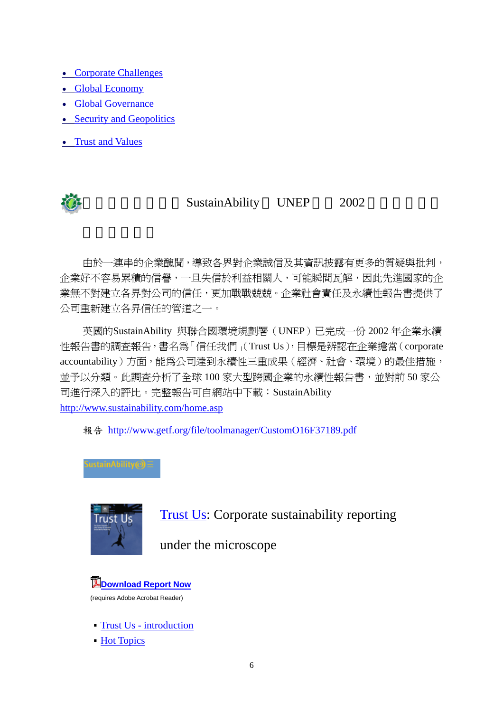- [Corporate Challenges](http://www.weforum.org/site/homepublic.nsf/Content/Annual+Meeting+2003%5CAnnual+Meeting+Theme%3A+Corporate+Challenges)
- [Global Economy](http://www.weforum.org/site/homepublic.nsf/Content/Annual+Meeting+2003%5CAnnual+Meeting+Theme%3A+Prospects+for+the+Global+Economy)
- [Global Governance](http://www.weforum.org/site/homepublic.nsf/Content/Annual+Meeting+2003%5CAnnual+Meeting+Theme%3A+Global+Governance)
- [Security and Geopolitics](http://www.weforum.org/site/homepublic.nsf/Content/Annual+Meeting+2003%5CAnnual+Meeting+Theme%3A+Security+and+Geopolitics)
- [Trust and](http://www.weforum.org/site/homepublic.nsf/Content/Annual+Meeting+2003%5CAnnual+Meeting+Theme%3A+Trust+and+Values) Values



# SustainAbility UNEP 2002

由於一連串的企業醜聞,導致各界對企業誠信及其資訊披露有更多的質疑與批判, 企業好不容易累積的信譽,一旦失信於利益相關人,可能瞬間瓦解,因此先進國家的企 業無不對建立各界對公司的信任,更加戰戰兢兢。企業社會責任及永續性報告書提供了 公司重新建立各界信任的管道之一。

英國的SustainAbility 與聯合國環境規劃署(UNEP)已完成一份 2002 年企業永續 性報告書的調查報告,書名為「信任我們」(Trust Us),目標是辨認在企業擔當(corporate accountability)方面,能為公司達到永續性三重成果(經濟、社會、環境)的最佳措施, 並予以分類。此調查分析了全球 100 家大型跨國企業的永續性報告書,並對前 50 家公 司進行深入的評比。完整報告可自網站中下載:SustainAbility <http://www.sustainability.com/home.asp>

報告 <http://www.getf.org/file/toolmanager/CustomO16F37189.pdf>



[Trust Us](http://www.sustainability.com/publications/engaging/trust-us.asp): Corporate sustainability reporting

under the microscope

**[Download Report Now](http://www.getf.org/file/toolmanager/CustomO16F37189.pdf)** (requires Adobe Acrobat Reader)

- [Trust Us introduction](http://www.sustainability.com/publications/engaging/trust-us.asp)
- [Hot Topics](http://www.sustainability.com/publications/engaging/trust-us-hot-topics.asp)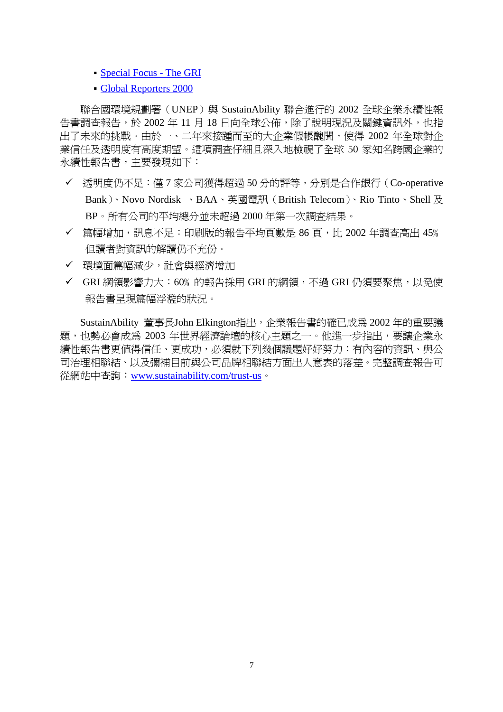- [Special Focus The GRI](http://www.sustainability.com/publications/engaging/trust-us-gri.asp)
- [Global Reporters 2000](http://www.sustainability.com/publications/engaging/global-reporters.asp)

聯合國環境規劃署 (UNEP) 與 SustainAbility 聯合進行的 2002 全球企業永續性報 告書調査報告,於 2002年11月18日向全球公佈,除了說明現況及關鍵資訊外,也指 出了未來的挑戰。由於一、二年來接踵而至的大企業假帳醜聞,使得 2002 年全球對企 業信任及透明度有高度期望。這項調查仔細且深入地檢視了全球 50 家知名跨國企業的 永續性報告書,主要發現如下:

- ✔ 透明度仍不足:僅 7 家公司獲得超過 50 分的評等,分別是合作銀行 (Co-operative Bank)、Novo Nordisk 、BAA、英國電訊(British Telecom)、Rio Tinto、Shell 及 BP。所有公司的平均總分並未超過 2000 年第一次調查結果。
- ✔ 篇幅增加,訊息不足:印刷版的報告平均頁數是 86 頁,比 2002 年調査高出 45% 但讀者對資訊的解讀仍不充份。
- 9 環境面篇幅減少,社會與經濟增加
- ✔ GRI 綱領影響力大:60% 的報告採用 GRI 的綱領,不過 GRI 仍須要聚焦,以免使 報告書呈現篇幅浮濫的狀況。

SustainAbility 董事長John Elkington指出,企業報告書的確已成為 2002 年的重要議 題,也勢必會成爲 2003 年世界經濟論壇的核心主題之一。他進一步指出,要讓企業永 續性報告書更值得信任、更成功,必須就下列幾個議題好好努力:有內容的資訊、與公 司治理相聯結、以及彌補目前與公司品牌相聯結方面出人意表的落差。完整調查報告可 從網站中查詢:[www.sustainability.com/trust-us](http://www.sustainability.com/trust-us)。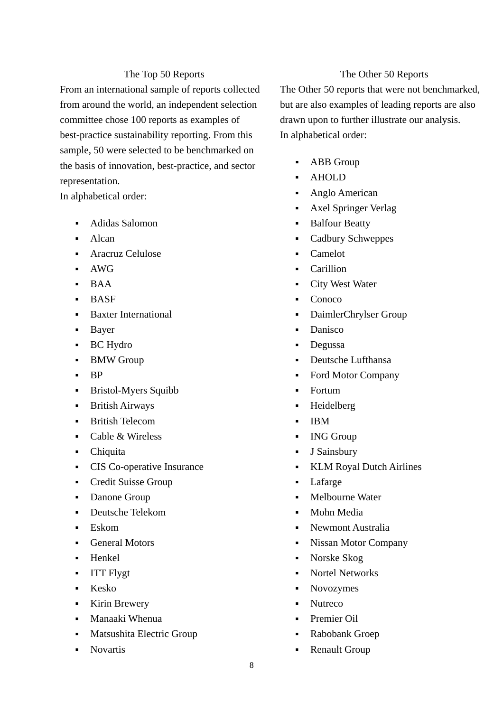### The Top 50 Reports

From an international sample of reports collected from around the world, an independent selection committee chose 100 reports as examples of best-practice sustainability reporting. From this sample, 50 were selected to be benchmarked on the basis of innovation, best-practice, and sector representation.

In alphabetical order:

- Adidas Salomon
- Alcan
- **Aracruz Celulose**
- $-$  AWG
- $BAA$
- $B = BASF$
- **Baxter International**
- **Bayer**
- BC Hydro
- **BMW Group**
- $-BP$
- Bristol-Myers Squibb
- British Airways
- **British Telecom**
- $\blacksquare$  Cable & Wireless
- Chiquita
- CIS Co-operative Insurance
- Credit Suisse Group
- Danone Group
- **-** Deutsche Telekom
- $Eskom$
- **General Motors**
- **Henkel**
- **ITT Flygt**
- $\blacksquare$  Kesko
- **Kirin Brewery**
- Manaaki Whenua
- Matsushita Electric Group
- **Novartis**

#### The Other 50 Reports

The Other 50 reports that were not benchmarked, but are also examples of leading reports are also drawn upon to further illustrate our analysis. In alphabetical order:

- **ABB** Group
- AHOLD
- Anglo American
- Axel Springer Verlag
- **Balfour Beatty**
- Cadbury Schweppes
- Camelot
- Carillion
- **City West Water**
- Conoco
- DaimlerChrylser Group
- Danisco
- **Degussa**
- Deutsche Lufthansa
- Ford Motor Company
- **Fortum**
- **Heidelberg**
- $-IBM$
- **ING Group**
- **J** Sainsbury
- **KLM Royal Dutch Airlines**
- **Lafarge**
- **Melbourne Water**
- Mohn Media
- **Newmont Australia**
- Nissan Motor Company
- Norske Skog
- **Nortel Networks**
- Novozymes
- **Nutreco**
- Premier Oil
- Rabobank Groep
- Renault Group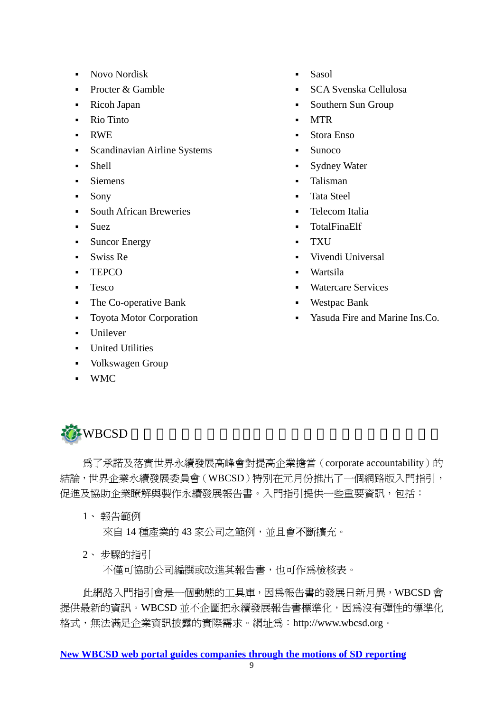- Novo Nordisk
- Procter & Gamble
- Ricoh Japan
- Rio Tinto
- RWE
- **Scandinavian Airline Systems**
- Shell
- Siemens
- Sony
- **South African Breweries**
- **Suez**
- Suncor Energy
- **Swiss Re**
- **TEPCO**
- **Tesco**
- The Co-operative Bank
- Toyota Motor Corporation
- **-** Unilever
- **-** United Utilities
- Volkswagen Group
- WMC



- SCA Svenska Cellulosa
- Southern Sun Group
- MTR
- Stora Enso
- Sunoco
- Sydney Water
- Talisman
- **Tata Steel**
- Telecom Italia
- TotalFinaElf
- **TXU**
- Vivendi Universal
- Wartsila
- Watercare Services
- Westpac Bank
- Yasuda Fire and Marine Ins.Co.



為了承諾及落實世界永續發展高峰會對提高企業擔當(corporate accountability)的 結論,世界企業永續發展委員會(WBCSD)特別在元月份推出了一個網路版入門指引, 促進及協助企業瞭解與製作永續發展報告書。入門指引提供一些重要資訊,包括:

1、 報告範例

來自 14 種產業的 43 家公司之範例,並且會不斷擴充。

2、 步驟的指引

不僅可協助公司編撰或改進其報告書,也可作為檢核表。

此網路入門指引會是一個動態的工具庫,因為報告書的發展日新月異,WBCSD 會 提供最新的資訊。WBCSD 並不企圖把永續發展報告書標準化,因為沒有彈性的標準化 格式,無法滿足企業資訊披露的實際需求。網址為:http://www.wbcsd.org。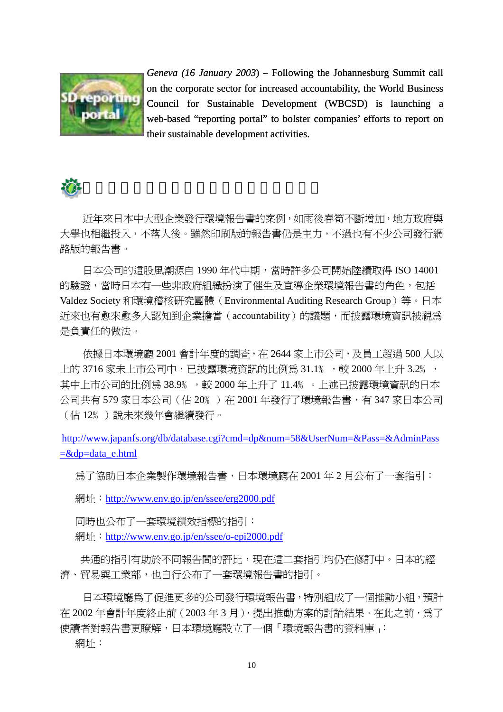

*Geneva (16 January 2003*) – Following the Johannesburg Summit call on the corporate sector for increased accountability, the World Business Council for Sustainable Development (WBCSD) is launching a web-based "reporting portal" to bolster companies' efforts to report on their sustainable development activities.



近年來日本中大型企業發行環境報告書的案例,如雨後春筍不斷增加,地方政府與 大學也相繼投入,不落人後。雖然印刷版的報告書仍是主力,不過也有不少公司發行網 路版的報告書。

日本公司的這股風潮源自 1990 年代中期,當時許多公司開始陸續取得 ISO 14001 的驗證,當時日本有一些非政府組織扮演了催生及宣導企業環境報告書的角色,包括 Valdez Society 和環境稽核研究團體(Environmental Auditing Research Group)等。日本 近來也有愈來愈多人認知到企業擔當(accountability)的議題,而披露環境資訊被視為 是負責任的做法。

依據日本環境廳 2001 會計年度的調查,在 2644 家上市公司,及員工超過 500 人以 上的 3716 家未上市公司中,已披露環境資訊的比例為 31.1% ,較 2000 年上升 3.2% , 其中上市公司的比例為 38.9%, 較 2000 年上升了 11.4% 。上述已披露環境資訊的日本 公司共有 579 家日本公司(佔 20%)在 2001 年發行了環境報告書,有 347 家日本公司 (佔 12﹪)說未來幾年會繼續發行。

[http://www.japanfs.org/db/database.cgi?cmd=dp&num=58&UserNum=&Pass=&AdminPass](http://www.japanfs.org/db/database.cgi?cmd=dp&num=58&UserNum=&Pass=&AdminPass=&dp=data_e.html)  $=\&dp=\text{data}\_\text{e.html}$ 

為了協助日本企業製作環境報告書,日本環境廳在 2001 年 2 月公布了一套指引:

網址: <http://www.env.go.jp/en/ssee/erg2000.pdf>

同時也公布了一套環境績效指標的指引: 網址:<http://www.env.go.jp/en/ssee/o-epi2000.pdf>

共通的指引有助於不同報告間的評比,現在這二套指引均仍在修訂中。日本的經 濟、貿易與工業部,也自行公布了一套環境報告書的指引。

日本環境廳為了促進更多的公司發行環境報告書,特別組成了一個推動小組,預計 在 2002 年會計年度終止前 (2003 年 3 月 ), 提出推動方案的討論結果。在此之前, 為了 使讀者對報告書更瞭解,日本環境廳設立了一個「環境報告書的資料庫」:

網址: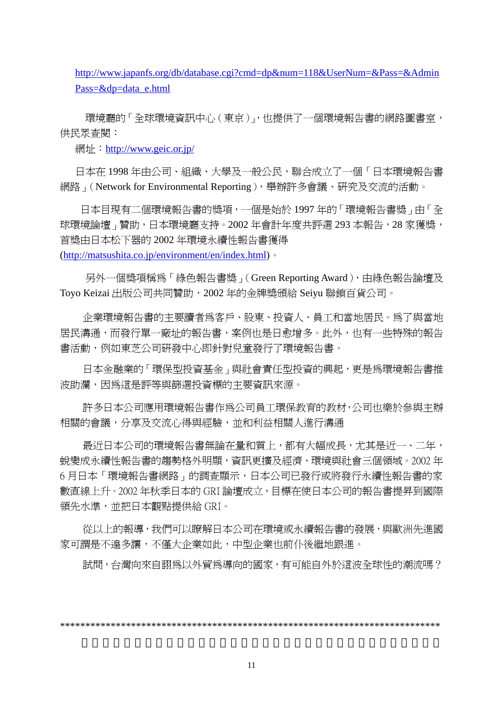[http://www.japanfs.org/db/database.cgi?cmd=dp&num=118&UserNum=&Pass=&Admin](http://www.japanfs.org/db/database.cgi?cmd=dp&num=118&UserNum=&Pass=&AdminPass=&dp=data_e.html) [Pass=&dp=data\\_e.html](http://www.japanfs.org/db/database.cgi?cmd=dp&num=118&UserNum=&Pass=&AdminPass=&dp=data_e.html)

環境廳的「全球環境資訊中心 (東京)」,也提供了一個環境報告書的網路圖書室, 供民眾查閱:

網址:<http://www.geic.or.jp/>

日本在 1998 年由公司、組織、大學及一般公民,聯合成立了一個「日本環境報告書 網路」(Network for Environmental Reporting),舉辦許多會議、研究及交流的活動。

日本目現有二個環境報告書的獎項,一個是始於 1997 年的「環境報告書獎」由「全 球環境論壇」贊助,日本環境廳支持。2002 年會計年度共評選 293 本報告,28 家獲獎, 首獎由日本松下器的 2002 年環境永續性報告書獲得

(<http://matsushita.co.jp/environment/en/index.html>)。

另外一個獎項稱為「綠色報告書獎」(Green Reporting Award),由綠色報告論壇及 Toyo Keizai 出版公司共同贊助,2002 年的金牌獎頒給 Seiyu 聯鎖百貨公司。

企業環境報告書的主要讀者為客戶、股東、投資人、員工和當地居民。為了與當地 居民溝通,而發行單一廠址的報告書,案例也是日愈增多。此外,也有一些特殊的報告 書活動,例如東芝公司研發中心即針對兒童發行了環境報告書。

日本金融業的「環保型投資基金」與社會責任型投資的興起,更是為環境報告書推 波助瀾,因為這是評等與篩選投資標的主要資訊來源。

許多日本公司應用環境報告書作為公司員工環保教育的教材,公司也樂於參與主辦 相關的會議,分享及交流心得與經驗,並和利益相關人進行溝通

最近日本公司的環境報告書無論在量和質上,都有大幅成長,尤其是近一、二年, 蛻變成永續性報告書的趨勢格外明顯,資訊更擴及經濟、環境與社會三個領域。2002 年 6月日本「環境報告書網路」的調查顯示,日本公司已發行或將發行永續性報告書的家 數直線上升。2002年秋季日本的 GRI 論壇成立,目標在使日本公司的報告書提昇到國際 領先水準,並把日本觀點提供給 GRI。

從以上的報導,我們可以瞭解日本公司在環境或永續報告書的發展,與歐洲先進國 家可謂是不遑多讓,不僅大企業如此,中型企業也前仆後繼地跟進。

試問,台灣向來自詡為以外貿為導向的國家,有可能自外於這波全球性的潮流嗎?

\*\*\*\*\*\*\*\*\*\*\*\*\*\*\*\*\*\*\*\*\*\*\*\*\*\*\*\*\*\*\*\*\*\*\*\*\*\*\*\*\*\*\*\*\*\*\*\*\*\*\*\*\*\*\*\*\*\*\*\*\*\*\*\*\*\*\*\*\*\*\*\*\*\*\*